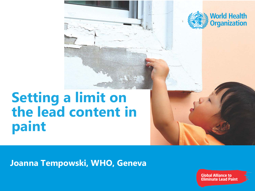

# **Setting a limit on the lead content in paint**

#### **Joanna Tempowski, WHO, Geneva**

**Global Alliance to Eliminate Lead Paint**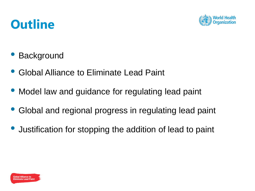

# **Outline**

- **Background**
- Global Alliance to Eliminate Lead Paint
- Model law and guidance for regulating lead paint
- Global and regional progress in regulating lead paint
- Justification for stopping the addition of lead to paint

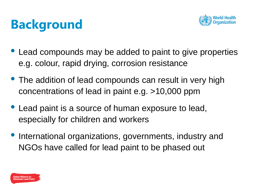# **Background**



- Lead compounds may be added to paint to give properties e.g. colour, rapid drying, corrosion resistance
- The addition of lead compounds can result in very high concentrations of lead in paint e.g. >10,000 ppm
- Lead paint is a source of human exposure to lead, especially for children and workers
- International organizations, governments, industry and NGOs have called for lead paint to be phased out

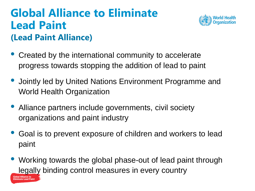#### **(Lead Paint Alliance) Global Alliance to Eliminate Lead Paint**

Fliminate Lead Pain:



- Created by the international community to accelerate progress towards stopping the addition of lead to paint
- Jointly led by United Nations Environment Programme and World Health Organization
- Alliance partners include governments, civil society organizations and paint industry
- Goal is to prevent exposure of children and workers to lead paint
- Working towards the global phase-out of lead paint through legally binding control measures in every country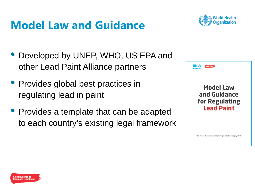# **Model Law and Guidance**



- Developed by UNEP, WHO, US EPA and other Lead Paint Alliance partners
- Provides global best practices in regulating lead in paint
- Provides a template that can be adapted to each country's existing legal framework



The United Nations Environment Programme Revised July 2018

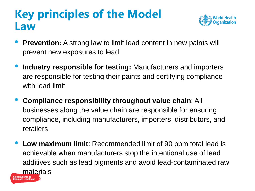# **Key principles of the Model Law**



- **Prevention:** A strong law to limit lead content in new paints will prevent new exposures to lead
- **Industry responsible for testing:** Manufacturers and importers are responsible for testing their paints and certifying compliance with lead limit
- **Compliance responsibility throughout value chain**: All businesses along the value chain are responsible for ensuring compliance, including manufacturers, importers, distributors, and retailers
- **Low maximum limit**: Recommended limit of 90 ppm total lead is achievable when manufacturers stop the intentional use of lead additives such as lead pigments and avoid lead-contaminated raw **materials**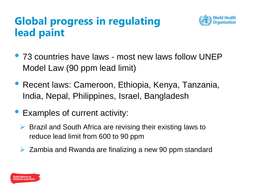#### **Global progress in regulating lead paint**



- 73 countries have laws most new laws follow UNEP Model Law (90 ppm lead limit)
- Recent laws: Cameroon, Ethiopia, Kenya, Tanzania, India, Nepal, Philippines, Israel, Bangladesh
- Examples of current activity:
	- $\triangleright$  Brazil and South Africa are revising their existing laws to reduce lead limit from 600 to 90 ppm
	- $\triangleright$  Zambia and Rwanda are finalizing a new 90 ppm standard

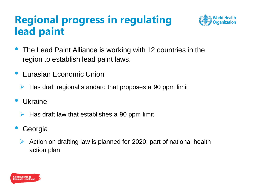#### **Regional progress in regulating lead paint**



- The Lead Paint Alliance is working with 12 countries in the region to establish lead paint laws.
- Eurasian Economic Union
	- Has draft regional standard that proposes a 90 ppm limit
- **Ukraine** 
	- $\triangleright$  Has draft law that establishes a 90 ppm limit
- **Georgia** 
	- $\triangleright$  Action on drafting law is planned for 2020; part of national health action plan

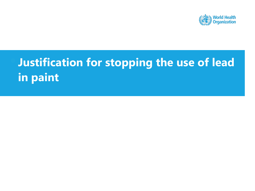

# • **Justification for stopping the use of lead in paint**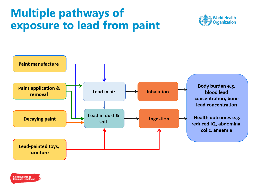### **Multiple pathways of exposure to lead from paint**

![](_page_9_Picture_1.jpeg)

![](_page_9_Figure_2.jpeg)

![](_page_9_Picture_3.jpeg)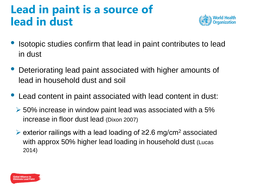# **Lead in paint is a source of lead in dust**

![](_page_10_Picture_1.jpeg)

- Isotopic studies confirm that lead in paint contributes to lead in dust
- Deteriorating lead paint associated with higher amounts of lead in household dust and soil
- Lead content in paint associated with lead content in dust:
	- $\geq$  50% increase in window paint lead was associated with a 5% increase in floor dust lead (Dixon 2007)
	- exterior railings with a lead loading of ≥2.6 mg/cm<sup>2</sup> associated with approx 50% higher lead loading in household dust (Lucas 2014)

![](_page_10_Picture_7.jpeg)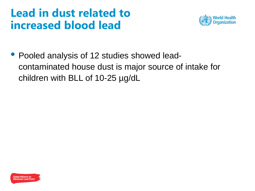#### **Lead in dust related to increased blood lead**

![](_page_11_Picture_1.jpeg)

• Pooled analysis of 12 studies showed leadcontaminated house dust is major source of intake for children with BLL of 10-25 µg/dL

![](_page_11_Picture_3.jpeg)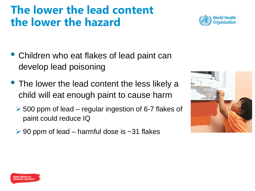## **The lower the lead content the lower the hazard**

![](_page_12_Picture_1.jpeg)

- Children who eat flakes of lead paint can develop lead poisoning
- The lower the lead content the less likely a child will eat enough paint to cause harm
	- $\geq$  500 ppm of lead regular ingestion of 6-7 flakes of paint could reduce IQ
	- $\geq$  90 ppm of lead harmful dose is  $\sim$ 31 flakes

![](_page_12_Picture_6.jpeg)

![](_page_12_Picture_7.jpeg)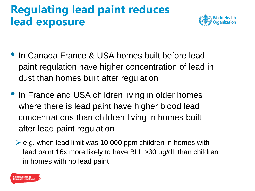# **Regulating lead paint reduces lead exposure**

![](_page_13_Picture_1.jpeg)

- In Canada France & USA homes built before lead paint regulation have higher concentration of lead in dust than homes built after regulation
- In France and USA children living in older homes where there is lead paint have higher blood lead concentrations than children living in homes built after lead paint regulation
	- $\triangleright$  e.g. when lead limit was 10,000 ppm children in homes with lead paint 16x more likely to have BLL >30 µg/dL than children in homes with no lead paint

![](_page_13_Picture_5.jpeg)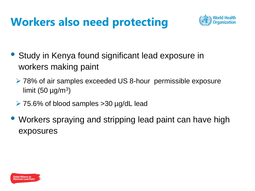# **Workers also need protecting**

![](_page_14_Picture_1.jpeg)

- Study in Kenya found significant lead exposure in workers making paint
	- 78% of air samples exceeded US 8-hour permissible exposure limit (50  $\mu$ g/m<sup>3</sup>)
	- 75.6% of blood samples >30 µg/dL lead
- Workers spraying and stripping lead paint can have high exposures

![](_page_14_Picture_6.jpeg)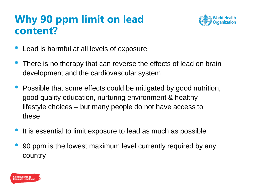#### **Why 90 ppm limit on lead content?**

![](_page_15_Picture_1.jpeg)

- Lead is harmful at all levels of exposure
- There is no therapy that can reverse the effects of lead on brain development and the cardiovascular system
- Possible that some effects could be mitigated by good nutrition, good quality education, nurturing environment & healthy lifestyle choices – but many people do not have access to these
- It is essential to limit exposure to lead as much as possible
- 90 ppm is the lowest maximum level currently required by any country

![](_page_15_Picture_7.jpeg)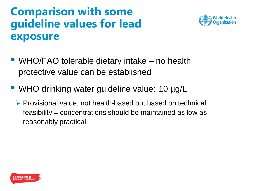## **Comparison with some guideline values for lead exposure**

![](_page_16_Picture_1.jpeg)

- WHO/FAO tolerable dietary intake no health protective value can be established
- WHO drinking water guideline value: 10 µg/L
	- $\triangleright$  Provisional value, not health-based but based on technical feasibility ̶concentrations should be maintained as low as reasonably practical

![](_page_16_Picture_5.jpeg)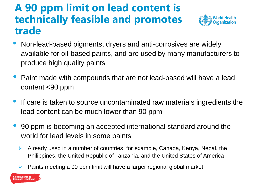#### **A 90 ppm limit on lead content is technically feasible and promotes trade**

![](_page_17_Picture_1.jpeg)

- Non-lead-based pigments, dryers and anti-corrosives are widely available for oil-based paints, and are used by many manufacturers to produce high quality paints
- Paint made with compounds that are not lead-based will have a lead content <90 ppm
- If care is taken to source uncontaminated raw materials ingredients the lead content can be much lower than 90 ppm
- 90 ppm is becoming an accepted international standard around the world for lead levels in some paints
	- $\triangleright$  Already used in a number of countries, for example, Canada, Kenya, Nepal, the Philippines, the United Republic of Tanzania, and the United States of America
	- Paints meeting a 90 ppm limit will have a larger regional global market

![](_page_17_Picture_8.jpeg)